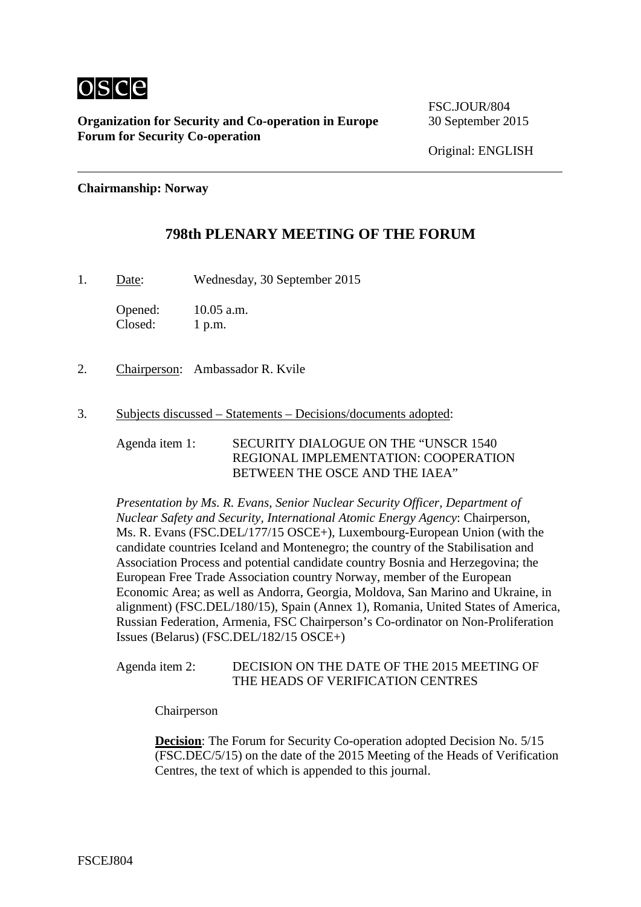

**Organization for Security and Co-operation in Europe** 30 September 2015 **Forum for Security Co-operation**

FSC.JOUR/804

Original: ENGLISH

**Chairmanship: Norway**

## **798th PLENARY MEETING OF THE FORUM**

1. Date: Wednesday, 30 September 2015

Opened: 10.05 a.m. Closed: 1 p.m.

- 2. Chairperson: Ambassador R. Kvile
- 3. Subjects discussed Statements Decisions/documents adopted:

Agenda item 1: SECURITY DIALOGUE ON THE "UNSCR 1540 REGIONAL IMPLEMENTATION: COOPERATION BETWEEN THE OSCE AND THE IAEA"

*Presentation by Ms. R. Evans, Senior Nuclear Security Officer, Department of Nuclear Safety and Security, International Atomic Energy Agency*: Chairperson, Ms. R. Evans (FSC.DEL/177/15 OSCE+), Luxembourg-European Union (with the candidate countries Iceland and Montenegro; the country of the Stabilisation and Association Process and potential candidate country Bosnia and Herzegovina; the European Free Trade Association country Norway, member of the European Economic Area; as well as Andorra, Georgia, Moldova, San Marino and Ukraine, in alignment) (FSC.DEL/180/15), Spain (Annex 1), Romania, United States of America, Russian Federation, Armenia, FSC Chairperson's Co-ordinator on Non-Proliferation Issues (Belarus) (FSC.DEL/182/15 OSCE+)

### Agenda item 2: DECISION ON THE DATE OF THE 2015 MEETING OF THE HEADS OF VERIFICATION CENTRES

Chairperson

**Decision:** The Forum for Security Co-operation adopted Decision No. 5/15 (FSC.DEC/5/15) on the date of the 2015 Meeting of the Heads of Verification Centres, the text of which is appended to this journal.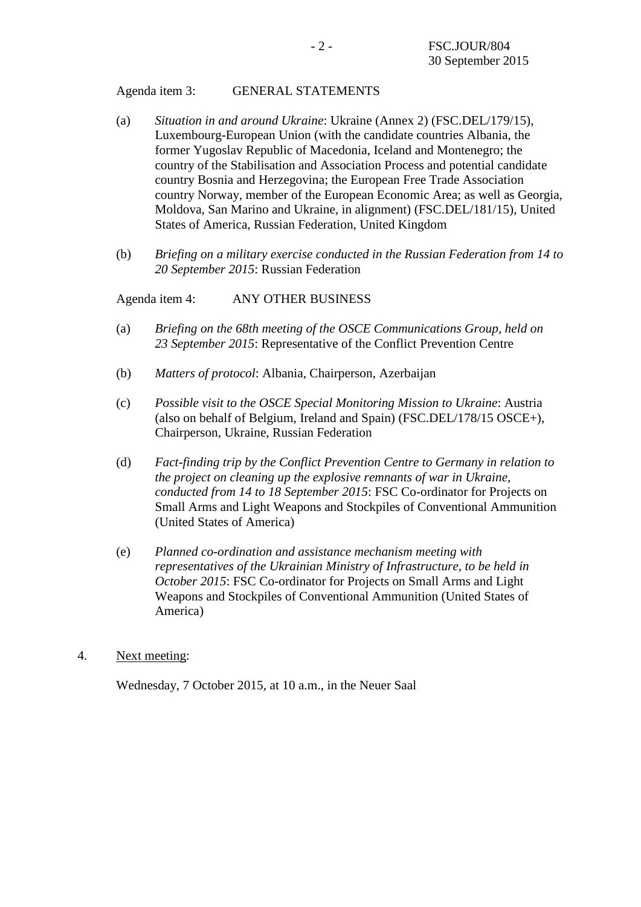### Agenda item 3: GENERAL STATEMENTS

- (a) *Situation in and around Ukraine*: Ukraine (Annex 2) (FSC.DEL/179/15), Luxembourg-European Union (with the candidate countries Albania, the former Yugoslav Republic of Macedonia, Iceland and Montenegro; the country of the Stabilisation and Association Process and potential candidate country Bosnia and Herzegovina; the European Free Trade Association country Norway, member of the European Economic Area; as well as Georgia, Moldova, San Marino and Ukraine, in alignment) (FSC.DEL/181/15), United States of America, Russian Federation, United Kingdom
- (b) *Briefing on a military exercise conducted in the Russian Federation from 14 to 20 September 2015*: Russian Federation

Agenda item 4: ANY OTHER BUSINESS

- (a) *Briefing on the 68th meeting of the OSCE Communications Group, held on 23 September 2015*: Representative of the Conflict Prevention Centre
- (b) *Matters of protocol*: Albania, Chairperson, Azerbaijan
- (c) *Possible visit to the OSCE Special Monitoring Mission to Ukraine*: Austria (also on behalf of Belgium, Ireland and Spain) (FSC.DEL/178/15 OSCE+), Chairperson, Ukraine, Russian Federation
- (d) *Fact-finding trip by the Conflict Prevention Centre to Germany in relation to the project on cleaning up the explosive remnants of war in Ukraine, conducted from 14 to 18 September 2015*: FSC Co-ordinator for Projects on Small Arms and Light Weapons and Stockpiles of Conventional Ammunition (United States of America)
- (e) *Planned co-ordination and assistance mechanism meeting with representatives of the Ukrainian Ministry of Infrastructure, to be held in October 2015*: FSC Co-ordinator for Projects on Small Arms and Light Weapons and Stockpiles of Conventional Ammunition (United States of America)
- 4. Next meeting:

Wednesday, 7 October 2015, at 10 a.m., in the Neuer Saal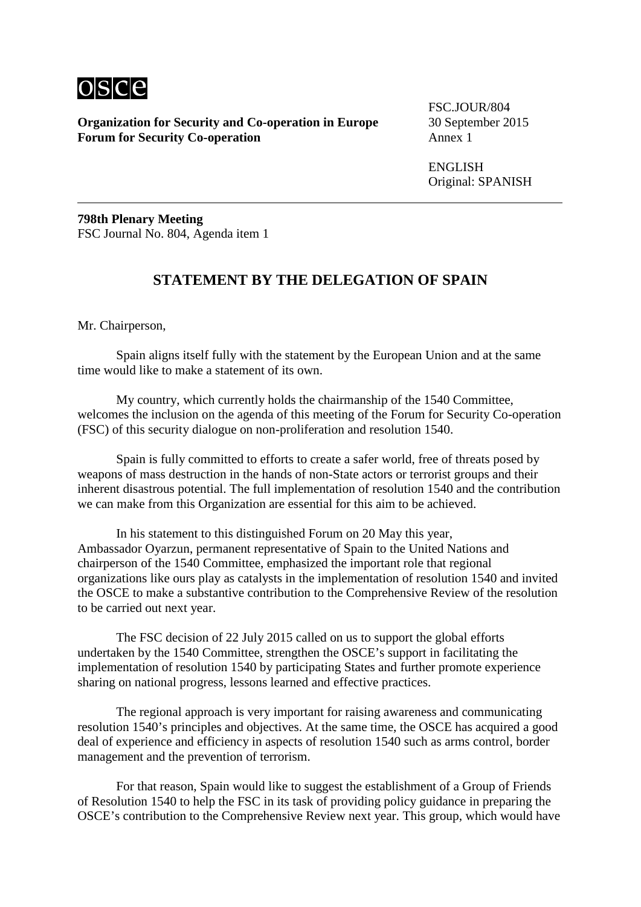

**Organization for Security and Co-operation in Europe** 30 September 2015 **Forum for Security Co-operation** 

FSC.JOUR/804

ENGLISH Original: SPANISH

**798th Plenary Meeting** FSC Journal No. 804, Agenda item 1

# **STATEMENT BY THE DELEGATION OF SPAIN**

Mr. Chairperson,

Spain aligns itself fully with the statement by the European Union and at the same time would like to make a statement of its own.

My country, which currently holds the chairmanship of the 1540 Committee, welcomes the inclusion on the agenda of this meeting of the Forum for Security Co-operation (FSC) of this security dialogue on non-proliferation and resolution 1540.

Spain is fully committed to efforts to create a safer world, free of threats posed by weapons of mass destruction in the hands of non-State actors or terrorist groups and their inherent disastrous potential. The full implementation of resolution 1540 and the contribution we can make from this Organization are essential for this aim to be achieved.

In his statement to this distinguished Forum on 20 May this year, Ambassador Oyarzun, permanent representative of Spain to the United Nations and chairperson of the 1540 Committee, emphasized the important role that regional organizations like ours play as catalysts in the implementation of resolution 1540 and invited the OSCE to make a substantive contribution to the Comprehensive Review of the resolution to be carried out next year.

The FSC decision of 22 July 2015 called on us to support the global efforts undertaken by the 1540 Committee, strengthen the OSCE's support in facilitating the implementation of resolution 1540 by participating States and further promote experience sharing on national progress, lessons learned and effective practices.

The regional approach is very important for raising awareness and communicating resolution 1540's principles and objectives. At the same time, the OSCE has acquired a good deal of experience and efficiency in aspects of resolution 1540 such as arms control, border management and the prevention of terrorism.

For that reason, Spain would like to suggest the establishment of a Group of Friends of Resolution 1540 to help the FSC in its task of providing policy guidance in preparing the OSCE's contribution to the Comprehensive Review next year. This group, which would have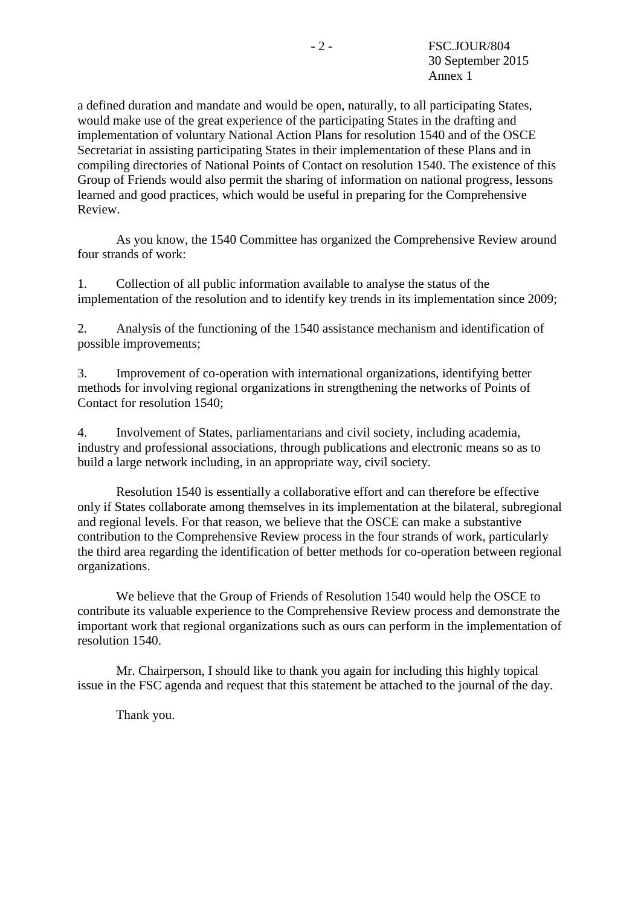a defined duration and mandate and would be open, naturally, to all participating States, would make use of the great experience of the participating States in the drafting and implementation of voluntary National Action Plans for resolution 1540 and of the OSCE Secretariat in assisting participating States in their implementation of these Plans and in compiling directories of National Points of Contact on resolution 1540. The existence of this Group of Friends would also permit the sharing of information on national progress, lessons learned and good practices, which would be useful in preparing for the Comprehensive Review.

As you know, the 1540 Committee has organized the Comprehensive Review around four strands of work:

1. Collection of all public information available to analyse the status of the implementation of the resolution and to identify key trends in its implementation since 2009;

2. Analysis of the functioning of the 1540 assistance mechanism and identification of possible improvements;

3. Improvement of co-operation with international organizations, identifying better methods for involving regional organizations in strengthening the networks of Points of Contact for resolution 1540;

4. Involvement of States, parliamentarians and civil society, including academia, industry and professional associations, through publications and electronic means so as to build a large network including, in an appropriate way, civil society.

Resolution 1540 is essentially a collaborative effort and can therefore be effective only if States collaborate among themselves in its implementation at the bilateral, subregional and regional levels. For that reason, we believe that the OSCE can make a substantive contribution to the Comprehensive Review process in the four strands of work, particularly the third area regarding the identification of better methods for co-operation between regional organizations.

We believe that the Group of Friends of Resolution 1540 would help the OSCE to contribute its valuable experience to the Comprehensive Review process and demonstrate the important work that regional organizations such as ours can perform in the implementation of resolution 1540.

Mr. Chairperson, I should like to thank you again for including this highly topical issue in the FSC agenda and request that this statement be attached to the journal of the day.

Thank you.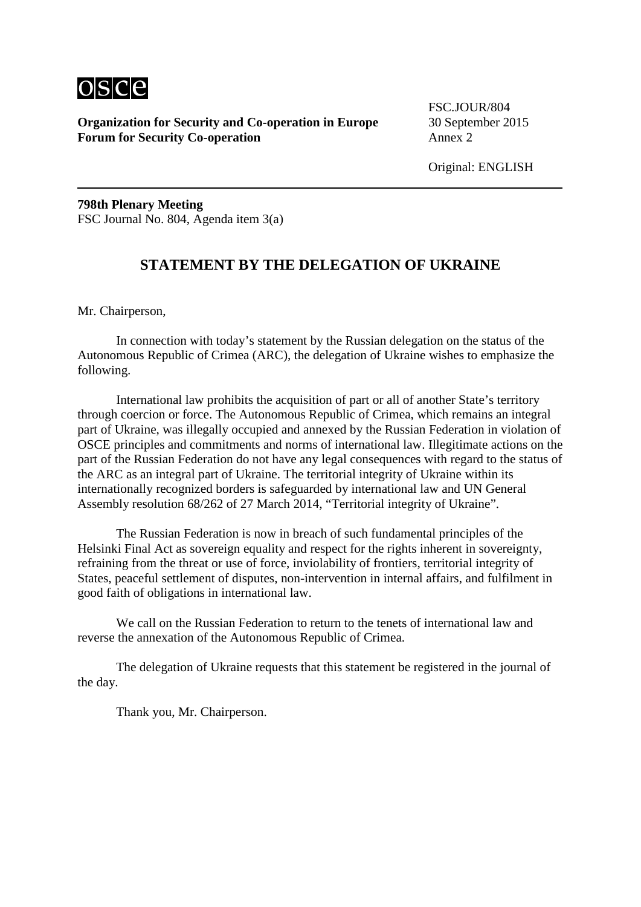

**Organization for Security and Co-operation in Europe** 30 September 2015 **Forum for Security Co-operation** Annex 2

FSC.JOUR/804

Original: ENGLISH

**798th Plenary Meeting** FSC Journal No. 804, Agenda item 3(a)

### **STATEMENT BY THE DELEGATION OF UKRAINE**

Mr. Chairperson,

In connection with today's statement by the Russian delegation on the status of the Autonomous Republic of Crimea (ARC), the delegation of Ukraine wishes to emphasize the following.

International law prohibits the acquisition of part or all of another State's territory through coercion or force. The Autonomous Republic of Crimea, which remains an integral part of Ukraine, was illegally occupied and annexed by the Russian Federation in violation of OSCE principles and commitments and norms of international law. Illegitimate actions on the part of the Russian Federation do not have any legal consequences with regard to the status of the ARC as an integral part of Ukraine. The territorial integrity of Ukraine within its internationally recognized borders is safeguarded by international law and UN General Assembly resolution 68/262 of 27 March 2014, "Territorial integrity of Ukraine".

The Russian Federation is now in breach of such fundamental principles of the Helsinki Final Act as sovereign equality and respect for the rights inherent in sovereignty, refraining from the threat or use of force, inviolability of frontiers, territorial integrity of States, peaceful settlement of disputes, non-intervention in internal affairs, and fulfilment in good faith of obligations in international law.

We call on the Russian Federation to return to the tenets of international law and reverse the annexation of the Autonomous Republic of Crimea.

The delegation of Ukraine requests that this statement be registered in the journal of the day.

Thank you, Mr. Chairperson.